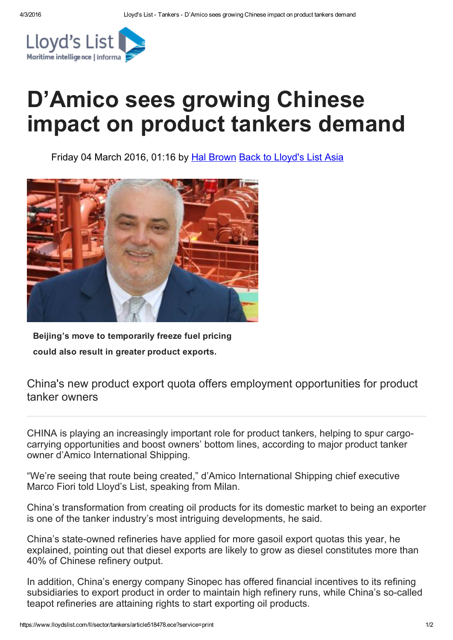

## D'Amico sees growing Chinese impact on product tankers demand

Friday 04 March 2016, 01:16 by Hal [Brown](https://www.lloydslist.com/ll/authors/hal-brown/) Back to [Lloyd's](https://www.lloydslist.com/ll/world/asia/) List Asia



Beijing's move to temporarily freeze fuel pricing could also result in greater product exports.

## China's new product export quota offers employment opportunities for product tanker owners

CHINA is playing an increasingly important role for product tankers, helping to spur cargocarrying opportunities and boost owners' bottom lines, according to major product tanker owner d'Amico International Shipping.

"We're seeing that route being created," d'Amico International Shipping chief executive Marco Fiori told Lloyd's List, speaking from Milan.

China's transformation from creating oil products for its domestic market to being an exporter is one of the tanker industry's most intriguing developments, he said.

China's state-owned refineries have applied for more gasoil export quotas this year, he explained, pointing out that diesel exports are likely to grow as diesel constitutes more than 40% of Chinese refinery output.

In addition, China's energy company Sinopec has offered financial incentives to its refining subsidiaries to export product in order to maintain high refinery runs, while China's so-called teapot refineries are attaining rights to start exporting oil products.